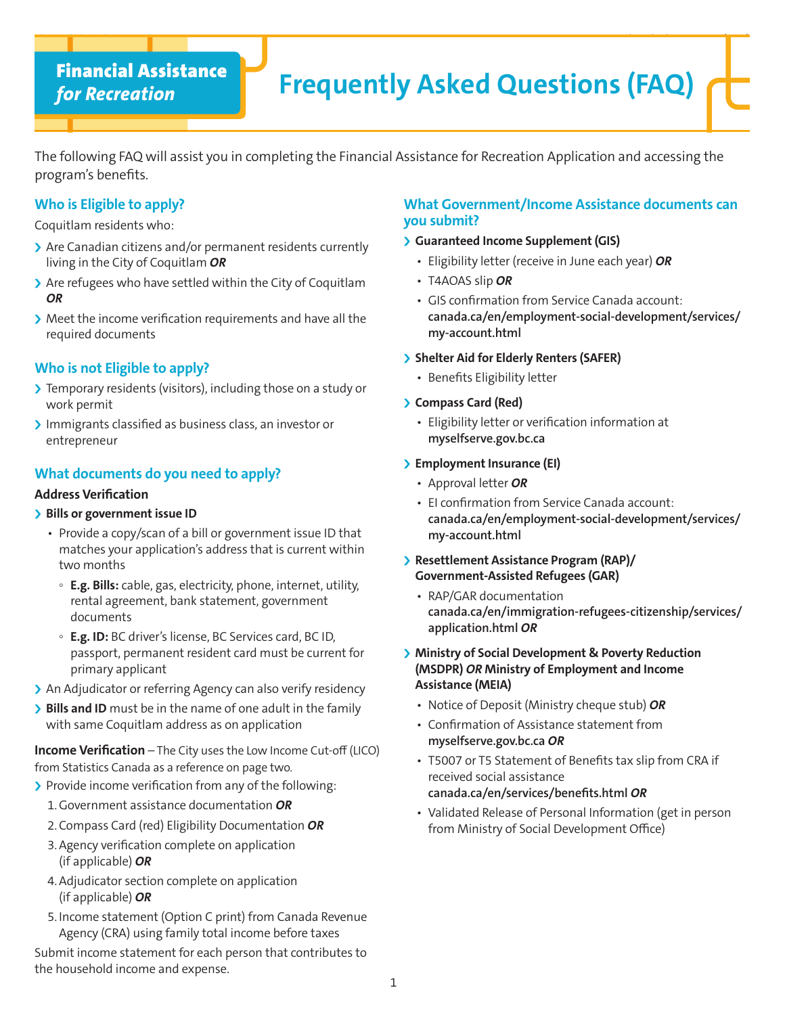# *for Recreation*

# Financial Assistance **Financial Assistance Financial Assistance Financial Assistance Financial Assistance Financial Association**

The following FAQ will assist you in completing the Financial Assistance for Recreation Application and accessing the program's benefits.

Financial Assistance *for Recreation* Frequently Asked Questions (FAQ)

# **Who is Eligible to apply?**

Coquitlam residents who:

- > Are Canadian citizens and/or permanent residents currently living in the City of Coquitlam *OR*
- $\blacktriangleright$  Are refugees who have settled within the City of Coquitlam *OR*
- $\blacktriangleright$  Meet the income verification requirements and have all the required documents

# **Who is not Eligible to apply?**

- If Temporary residents (visitors), including those on a study or work permit
- Immigrants classified as business class, an investor or entrepreneur

# **What documents do you need to apply?**

### **Address Verification**

## **Bills or government issue ID**

- Provide a copy/scan of a bill or government issue ID that matches your application's address that is current within two months
	- **E.g. Bills:** cable, gas, electricity, phone, internet, utility, rental agreement, bank statement, government documents
	- **E.g. ID:** BC driver's license, BC Services card, BC ID, passport, permanent resident card must be current for primary applicant
- > An Adjudicator or referring Agency can also verify residency
- **Bills and ID** must be in the name of one adult in the family with same Coquitlam address as on application

**Income Verification** – The City uses the Low Income Cut-off (LICO) from Statistics Canada as a reference on page two.

- > Provide income verification from any of the following:
	- 1.Government assistance documentation *OR*
	- 2.Compass Card (red) Eligibility Documentation *OR*
	- 3.Agency verification complete on application (if applicable) *OR*
	- 4.Adjudicator section complete on application (if applicable) *OR*
	- 5. Income statement (Option C print) from Canada Revenue Agency (CRA) using family total income before taxes

Submit income statement for each person that contributes to the household income and expense.

# **What Government/Income Assistance documents can you submit?**

## **Suaranteed Income Supplement (GIS)**

- Eligibility letter (receive in June each year) *OR*
- T4AOAS slip *OR*
- GIS confirmation from Service Canada account: **canada.ca/en/employment-social-development/services/ my-account.html**

### **Shelter Aid for Elderly Renters (SAFER)**

• Benefits Eligibility letter

### i **Compass Card (Red)**

• Eligibility letter or verification information at **myselfserve.gov.bc.ca**

## **Employment Insurance (EI)**

- Approval letter *OR*
- EI confirmation from Service Canada account: **canada.ca/en/employment-social-development/services/ my-account.html**
- **Resettlement Assistance Program (RAP)/ Government-Assisted Refugees (GAR)** 
	- RAP/GAR documentation **canada.ca/en/immigration-refugees-citizenship/services/ application.html** *OR*
- **I** Ministry of Social Development & Poverty Reduction **(MSDPR)** *OR* **Ministry of Employment and Income Assistance (MEIA)**
	- Notice of Deposit (Ministry cheque stub) *OR*
	- Confirmation of Assistance statement from **myselfserve.gov.bc.ca** *OR*
	- T5007 or T5 Statement of Benefits tax slip from CRA if received social assistance **canada.ca/en/services/benefits.html** *OR*
	- Validated Release of Personal Information (get in person from Ministry of Social Development Office)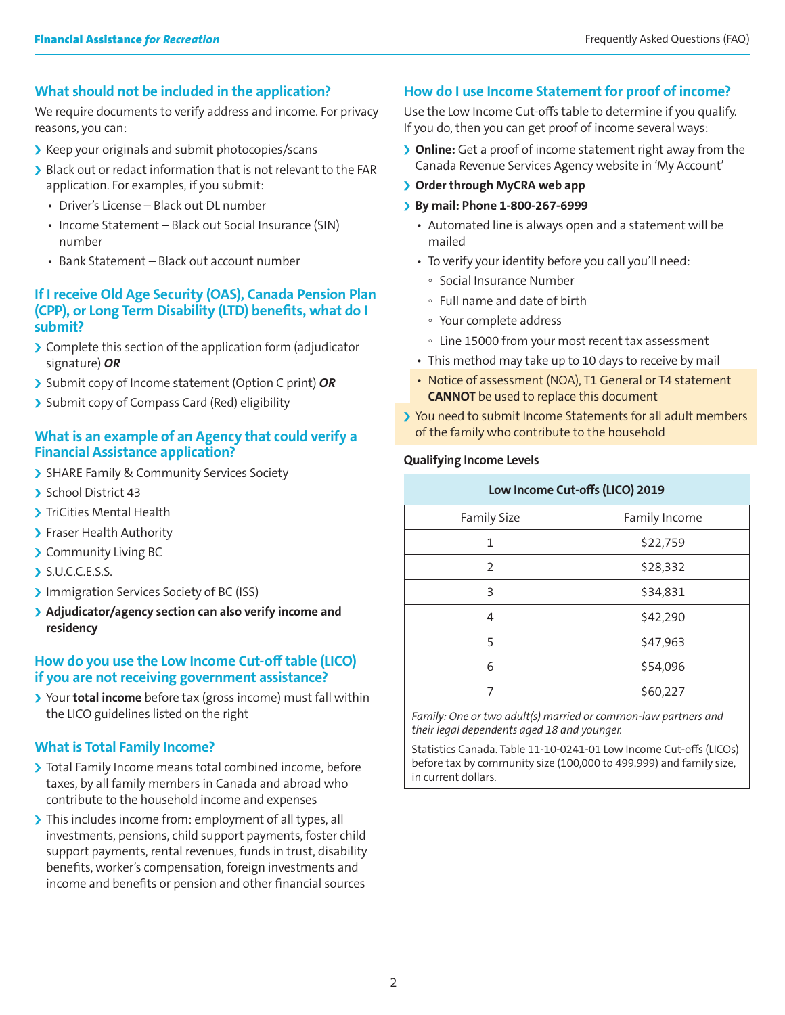# **What should not be included in the application?**

We require documents to verify address and income. For privacy reasons, you can:

- I Keep your originals and submit photocopies/scans
- I Black out or redact information that is not relevant to the FAR application. For examples, if you submit:
	- Driver's License Black out DL number
	- Income Statement Black out Social Insurance (SIN) number
	- Bank Statement Black out account number

## **If I receive Old Age Security (OAS), Canada Pension Plan (CPP), or Long Term Disability (LTD) benefits, what do I submit?**

- $\sum$  Complete this section of the application form (adjudicator signature) *OR*
- **>** Submit copy of Income statement (Option C print) OR
- > Submit copy of Compass Card (Red) eligibility

## **What is an example of an Agency that could verify a Financial Assistance application?**

- > SHARE Family & Community Services Society
- School District 43
- > TriCities Mental Health
- > Fraser Health Authority
- > Community Living BC
- $\sum$  S.U.C.C.E.S.S.
- Immigration Services Society of BC (ISS)
- **Example 2 Adjudicator/agency section can also verify income and residency**

# **How do you use the Low Income Cut-off table (LICO) if you are not receiving government assistance?**

**If** Your **total income** before tax (gross income) must fall within the LICO guidelines listed on the right

# **What is Total Family Income?**

- I Total Family Income means total combined income, before taxes, by all family members in Canada and abroad who contribute to the household income and expenses
- If This includes income from: employment of all types, all investments, pensions, child support payments, foster child support payments, rental revenues, funds in trust, disability benefits, worker's compensation, foreign investments and income and benefits or pension and other financial sources

# **How do I use Income Statement for proof of income?**

Use the Low Income Cut-offs table to determine if you qualify. If you do, then you can get proof of income several ways:

- **If Online:** Get a proof of income statement right away from the Canada Revenue Services Agency website in 'My Account'
- **S** Order through MyCRA web app
- i **By mail: Phone 1-800-267-6999**
	- Automated line is always open and a statement will be mailed
	- To verify your identity before you call you'll need:
		- Social Insurance Number
		- Full name and date of birth
		- Your complete address
		- Line 15000 from your most recent tax assessment
	- This method may take up to 10 days to receive by mail
	- Notice of assessment (NOA), T1 General or T4 statement **CANNOT** be used to replace this document
- I You need to submit Income Statements for all adult members of the family who contribute to the household

#### **Qualifying Income Levels**

| Low Income Cut-offs (LICO) 2019 |               |  |
|---------------------------------|---------------|--|
| <b>Family Size</b>              | Family Income |  |
| 1                               | \$22,759      |  |
| 2                               | \$28,332      |  |
| 3                               | \$34,831      |  |
| 4                               | \$42,290      |  |
| 5                               | \$47,963      |  |
| 6                               | \$54,096      |  |
|                                 | \$60,227      |  |

*Family: One or two adult(s) married or common-law partners and their legal dependents aged 18 and younger.*

Statistics Canada. Table 11-10-0241-01 Low Income Cut-offs (LICOs) before tax by community size (100,000 to 499.999) and family size, in current dollars.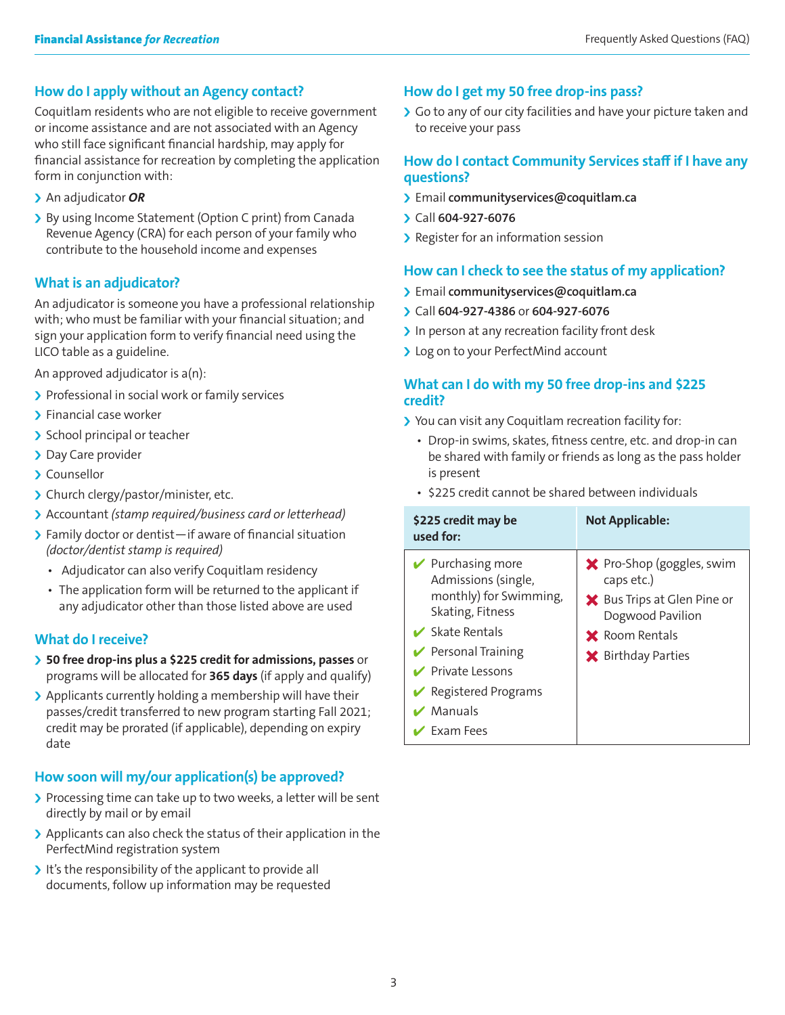# **How do I apply without an Agency contact?**

Coquitlam residents who are not eligible to receive government or income assistance and are not associated with an Agency who still face significant financial hardship, may apply for financial assistance for recreation by completing the application form in conjunction with:

- > An adjudicator OR
- > By using Income Statement (Option C print) from Canada Revenue Agency (CRA) for each person of your family who contribute to the household income and expenses

# **What is an adjudicator?**

An adjudicator is someone you have a professional relationship with; who must be familiar with your financial situation; and sign your application form to verify financial need using the LICO table as a guideline.

An approved adjudicator is a(n):

- > Professional in social work or family services
- $\sum$  Financial case worker
- > School principal or teacher
- > Day Care provider
- **Counsellor**
- > Church clergy/pastor/minister, etc.
- i Accountant *(stamp required/business card or letterhead)*
- $\sum$  Family doctor or dentist—if aware of financial situation *(doctor/dentist stamp is required)*
	- Adjudicator can also verify Coquitlam residency
	- The application form will be returned to the applicant if any adjudicator other than those listed above are used

# **What do I receive?**

- **> 50 free drop-ins plus a \$225 credit for admissions, passes** or programs will be allocated for **365 days** (if apply and qualify)
- $\blacktriangleright$  Applicants currently holding a membership will have their passes/credit transferred to new program starting Fall 2021; credit may be prorated (if applicable), depending on expiry date

# **How soon will my/our application(s) be approved?**

- If Processing time can take up to two weeks, a letter will be sent directly by mail or by email
- > Applicants can also check the status of their application in the PerfectMind registration system
- $\triangleright$  It's the responsibility of the applicant to provide all documents, follow up information may be requested

## **How do I get my 50 free drop-ins pass?**

So to any of our city facilities and have your picture taken and to receive your pass

## **How do I contact Community Services staff if I have any questions?**

- i Email **communityservices@coquitlam.ca**
- i Call **604-927-6076**
- > Register for an information session

# **How can I check to see the status of my application?**

- i Email **communityservices@coquitlam.ca**
- i Call **604-927-4386** or **604-927-6076**
- $\blacktriangleright$  In person at any recreation facility front desk
- > Log on to your PerfectMind account

## **What can I do with my 50 free drop-ins and \$225 credit?**

- I You can visit any Coquitlam recreation facility for:
	- Drop-in swims, skates, fitness centre, etc. and drop-in can be shared with family or friends as long as the pass holder is present
	- \$225 credit cannot be shared between individuals

| \$225 credit may be<br>used for:                                                                           | <b>Not Applicable:</b>                                                               |
|------------------------------------------------------------------------------------------------------------|--------------------------------------------------------------------------------------|
| $\blacktriangleright$ Purchasing more<br>Admissions (single,<br>monthly) for Swimming,<br>Skating, Fitness | <b>★</b> Pro-Shop (goggles, swim<br>caps etc.)<br><b>★</b> Bus Trips at Glen Pine or |
| $\vee$ Skate Rentals                                                                                       | Dogwood Pavilion                                                                     |
| $\triangleright$ Personal Training                                                                         | <b>X</b> Room Rentals<br><b>★</b> Birthday Parties                                   |
| $\triangleright$ Private Lessons                                                                           |                                                                                      |
| $\blacktriangleright$ Registered Programs                                                                  |                                                                                      |
| $\vee$ Manuals                                                                                             |                                                                                      |
| Exam Fees                                                                                                  |                                                                                      |